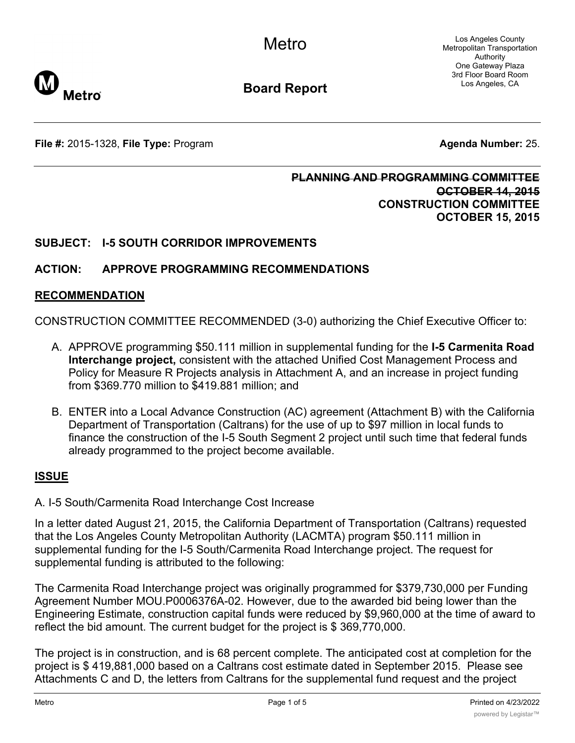Los Angeles County Metropolitan Transportation Authority One Gateway Plaza 3rd Floor Board Room Los Angeles, CA



**Board Report**

**File #:** 2015-1328, File Type: Program **Agents Agenda Number:** 25.

## **PLANNING AND PROGRAMMING COMMITTEE OCTOBER 14, 2015 CONSTRUCTION COMMITTEE OCTOBER 15, 2015**

## **SUBJECT: I-5 SOUTH CORRIDOR IMPROVEMENTS**

## **ACTION: APPROVE PROGRAMMING RECOMMENDATIONS**

### **RECOMMENDATION**

CONSTRUCTION COMMITTEE RECOMMENDED (3-0) authorizing the Chief Executive Officer to:

- A. APPROVE programming \$50.111 million in supplemental funding for the **I-5 Carmenita Road Interchange project,** consistent with the attached Unified Cost Management Process and Policy for Measure R Projects analysis in Attachment A, and an increase in project funding from \$369.770 million to \$419.881 million; and
- B. ENTER into a Local Advance Construction (AC) agreement (Attachment B) with the California Department of Transportation (Caltrans) for the use of up to \$97 million in local funds to finance the construction of the I-5 South Segment 2 project until such time that federal funds already programmed to the project become available.

### **ISSUE**

#### A. I-5 South/Carmenita Road Interchange Cost Increase

In a letter dated August 21, 2015, the California Department of Transportation (Caltrans) requested that the Los Angeles County Metropolitan Authority (LACMTA) program \$50.111 million in supplemental funding for the I-5 South/Carmenita Road Interchange project. The request for supplemental funding is attributed to the following:

The Carmenita Road Interchange project was originally programmed for \$379,730,000 per Funding Agreement Number MOU.P0006376A-02. However, due to the awarded bid being lower than the Engineering Estimate, construction capital funds were reduced by \$9,960,000 at the time of award to reflect the bid amount. The current budget for the project is \$ 369,770,000.

The project is in construction, and is 68 percent complete. The anticipated cost at completion for the project is \$ 419,881,000 based on a Caltrans cost estimate dated in September 2015. Please see Attachments C and D, the letters from Caltrans for the supplemental fund request and the project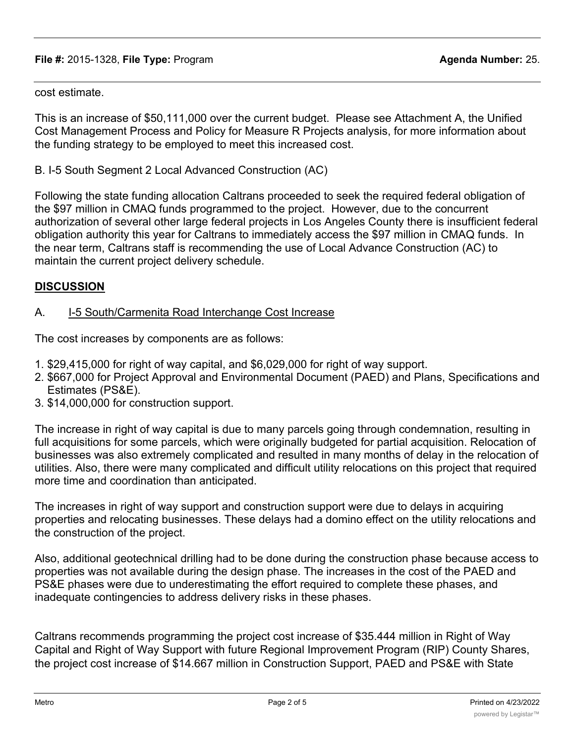#### **File #:** 2015-1328, **File Type:** Program **Agenda Number:** 25.

cost estimate.

This is an increase of \$50,111,000 over the current budget. Please see Attachment A, the Unified Cost Management Process and Policy for Measure R Projects analysis, for more information about the funding strategy to be employed to meet this increased cost.

B. I-5 South Segment 2 Local Advanced Construction (AC)

Following the state funding allocation Caltrans proceeded to seek the required federal obligation of the \$97 million in CMAQ funds programmed to the project. However, due to the concurrent authorization of several other large federal projects in Los Angeles County there is insufficient federal obligation authority this year for Caltrans to immediately access the \$97 million in CMAQ funds. In the near term, Caltrans staff is recommending the use of Local Advance Construction (AC) to maintain the current project delivery schedule.

## **DISCUSSION**

### A. **I-5 South/Carmenita Road Interchange Cost Increase**

The cost increases by components are as follows:

- 1. \$29,415,000 for right of way capital, and \$6,029,000 for right of way support.
- 2. \$667,000 for Project Approval and Environmental Document (PAED) and Plans, Specifications and Estimates (PS&E).
- 3. \$14,000,000 for construction support.

The increase in right of way capital is due to many parcels going through condemnation, resulting in full acquisitions for some parcels, which were originally budgeted for partial acquisition. Relocation of businesses was also extremely complicated and resulted in many months of delay in the relocation of utilities. Also, there were many complicated and difficult utility relocations on this project that required more time and coordination than anticipated.

The increases in right of way support and construction support were due to delays in acquiring properties and relocating businesses. These delays had a domino effect on the utility relocations and the construction of the project.

Also, additional geotechnical drilling had to be done during the construction phase because access to properties was not available during the design phase. The increases in the cost of the PAED and PS&E phases were due to underestimating the effort required to complete these phases, and inadequate contingencies to address delivery risks in these phases.

Caltrans recommends programming the project cost increase of \$35.444 million in Right of Way Capital and Right of Way Support with future Regional Improvement Program (RIP) County Shares, the project cost increase of \$14.667 million in Construction Support, PAED and PS&E with State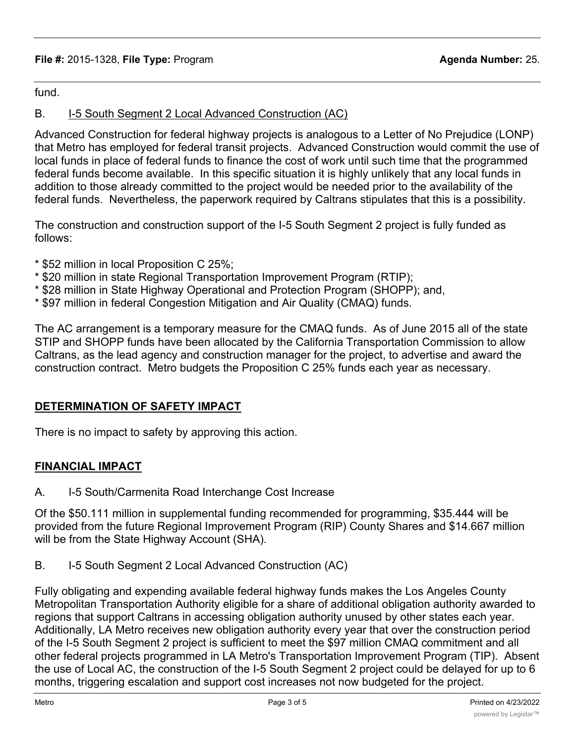### **File #:** 2015-1328, **File Type:** Program **Agenda Number:** 25.

fund.

## B. I-5 South Segment 2 Local Advanced Construction (AC)

Advanced Construction for federal highway projects is analogous to a Letter of No Prejudice (LONP) that Metro has employed for federal transit projects. Advanced Construction would commit the use of local funds in place of federal funds to finance the cost of work until such time that the programmed federal funds become available. In this specific situation it is highly unlikely that any local funds in addition to those already committed to the project would be needed prior to the availability of the federal funds. Nevertheless, the paperwork required by Caltrans stipulates that this is a possibility.

The construction and construction support of the I-5 South Segment 2 project is fully funded as follows:

- \* \$52 million in local Proposition C 25%;
- \* \$20 million in state Regional Transportation Improvement Program (RTIP);
- \* \$28 million in State Highway Operational and Protection Program (SHOPP); and,
- \* \$97 million in federal Congestion Mitigation and Air Quality (CMAQ) funds.

The AC arrangement is a temporary measure for the CMAQ funds. As of June 2015 all of the state STIP and SHOPP funds have been allocated by the California Transportation Commission to allow Caltrans, as the lead agency and construction manager for the project, to advertise and award the construction contract. Metro budgets the Proposition C 25% funds each year as necessary.

## **DETERMINATION OF SAFETY IMPACT**

There is no impact to safety by approving this action.

### **FINANCIAL IMPACT**

A. I-5 South/Carmenita Road Interchange Cost Increase

Of the \$50.111 million in supplemental funding recommended for programming, \$35.444 will be provided from the future Regional Improvement Program (RIP) County Shares and \$14.667 million will be from the State Highway Account (SHA).

B. I-5 South Segment 2 Local Advanced Construction (AC)

Fully obligating and expending available federal highway funds makes the Los Angeles County Metropolitan Transportation Authority eligible for a share of additional obligation authority awarded to regions that support Caltrans in accessing obligation authority unused by other states each year. Additionally, LA Metro receives new obligation authority every year that over the construction period of the I-5 South Segment 2 project is sufficient to meet the \$97 million CMAQ commitment and all other federal projects programmed in LA Metro's Transportation Improvement Program (TIP). Absent the use of Local AC, the construction of the I-5 South Segment 2 project could be delayed for up to 6 months, triggering escalation and support cost increases not now budgeted for the project.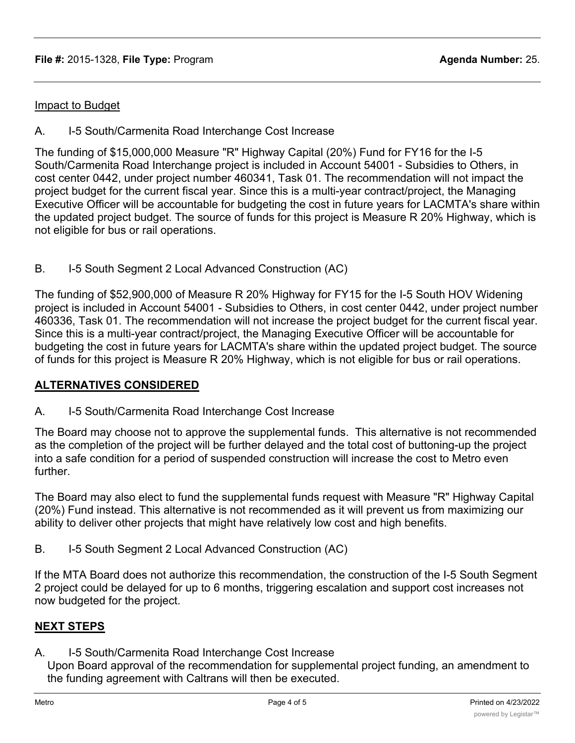### Impact to Budget

A. I-5 South/Carmenita Road Interchange Cost Increase

The funding of \$15,000,000 Measure "R" Highway Capital (20%) Fund for FY16 for the I-5 South/Carmenita Road Interchange project is included in Account 54001 - Subsidies to Others, in cost center 0442, under project number 460341, Task 01. The recommendation will not impact the project budget for the current fiscal year. Since this is a multi-year contract/project, the Managing Executive Officer will be accountable for budgeting the cost in future years for LACMTA's share within the updated project budget. The source of funds for this project is Measure R 20% Highway, which is not eligible for bus or rail operations.

B. I-5 South Segment 2 Local Advanced Construction (AC)

The funding of \$52,900,000 of Measure R 20% Highway for FY15 for the I-5 South HOV Widening project is included in Account 54001 - Subsidies to Others, in cost center 0442, under project number 460336, Task 01. The recommendation will not increase the project budget for the current fiscal year. Since this is a multi-year contract/project, the Managing Executive Officer will be accountable for budgeting the cost in future years for LACMTA's share within the updated project budget. The source of funds for this project is Measure R 20% Highway, which is not eligible for bus or rail operations.

### **ALTERNATIVES CONSIDERED**

A. I-5 South/Carmenita Road Interchange Cost Increase

The Board may choose not to approve the supplemental funds. This alternative is not recommended as the completion of the project will be further delayed and the total cost of buttoning-up the project into a safe condition for a period of suspended construction will increase the cost to Metro even further.

The Board may also elect to fund the supplemental funds request with Measure "R" Highway Capital (20%) Fund instead. This alternative is not recommended as it will prevent us from maximizing our ability to deliver other projects that might have relatively low cost and high benefits.

B. I-5 South Segment 2 Local Advanced Construction (AC)

If the MTA Board does not authorize this recommendation, the construction of the I-5 South Segment 2 project could be delayed for up to 6 months, triggering escalation and support cost increases not now budgeted for the project.

### **NEXT STEPS**

A. I-5 South/Carmenita Road Interchange Cost Increase

Upon Board approval of the recommendation for supplemental project funding, an amendment to the funding agreement with Caltrans will then be executed.